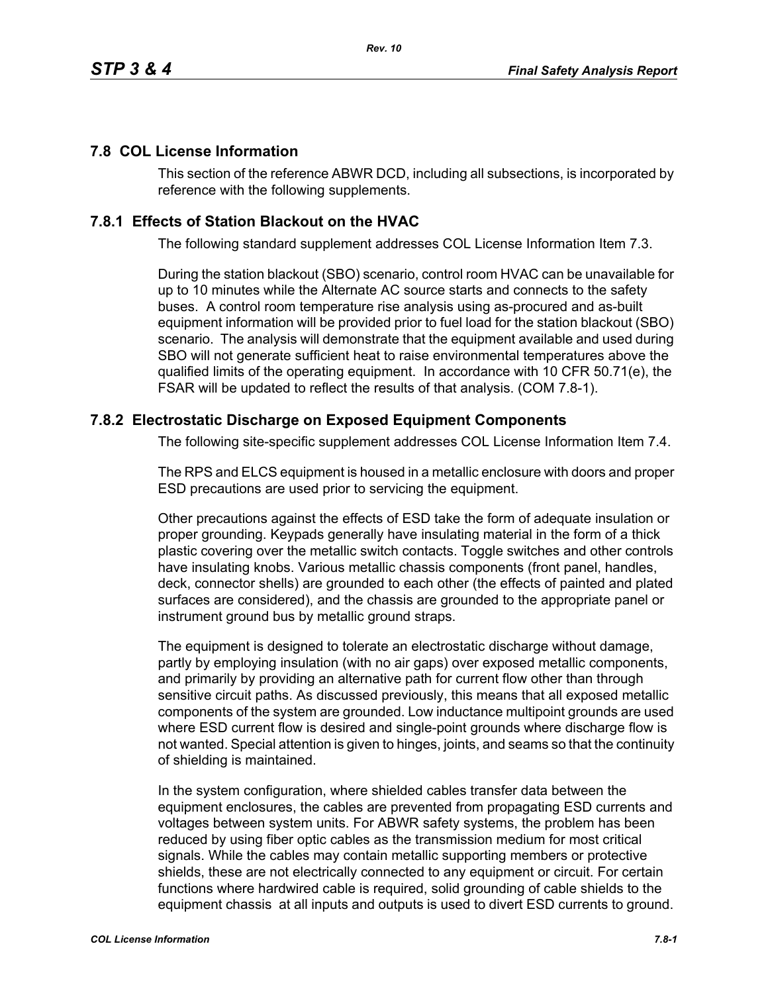## **7.8 COL License Information**

This section of the reference ABWR DCD, including all subsections, is incorporated by reference with the following supplements.

## **7.8.1 Effects of Station Blackout on the HVAC**

The following standard supplement addresses COL License Information Item 7.3.

During the station blackout (SBO) scenario, control room HVAC can be unavailable for up to 10 minutes while the Alternate AC source starts and connects to the safety buses. A control room temperature rise analysis using as-procured and as-built equipment information will be provided prior to fuel load for the station blackout (SBO) scenario. The analysis will demonstrate that the equipment available and used during SBO will not generate sufficient heat to raise environmental temperatures above the qualified limits of the operating equipment. In accordance with 10 CFR 50.71(e), the FSAR will be updated to reflect the results of that analysis. (COM 7.8-1).

## **7.8.2 Electrostatic Discharge on Exposed Equipment Components**

The following site-specific supplement addresses COL License Information Item 7.4.

The RPS and ELCS equipment is housed in a metallic enclosure with doors and proper ESD precautions are used prior to servicing the equipment.

Other precautions against the effects of ESD take the form of adequate insulation or proper grounding. Keypads generally have insulating material in the form of a thick plastic covering over the metallic switch contacts. Toggle switches and other controls have insulating knobs. Various metallic chassis components (front panel, handles, deck, connector shells) are grounded to each other (the effects of painted and plated surfaces are considered), and the chassis are grounded to the appropriate panel or instrument ground bus by metallic ground straps.

The equipment is designed to tolerate an electrostatic discharge without damage, partly by employing insulation (with no air gaps) over exposed metallic components, and primarily by providing an alternative path for current flow other than through sensitive circuit paths. As discussed previously, this means that all exposed metallic components of the system are grounded. Low inductance multipoint grounds are used where ESD current flow is desired and single-point grounds where discharge flow is not wanted. Special attention is given to hinges, joints, and seams so that the continuity of shielding is maintained.

In the system configuration, where shielded cables transfer data between the equipment enclosures, the cables are prevented from propagating ESD currents and voltages between system units. For ABWR safety systems, the problem has been reduced by using fiber optic cables as the transmission medium for most critical signals. While the cables may contain metallic supporting members or protective shields, these are not electrically connected to any equipment or circuit. For certain functions where hardwired cable is required, solid grounding of cable shields to the equipment chassis at all inputs and outputs is used to divert ESD currents to ground.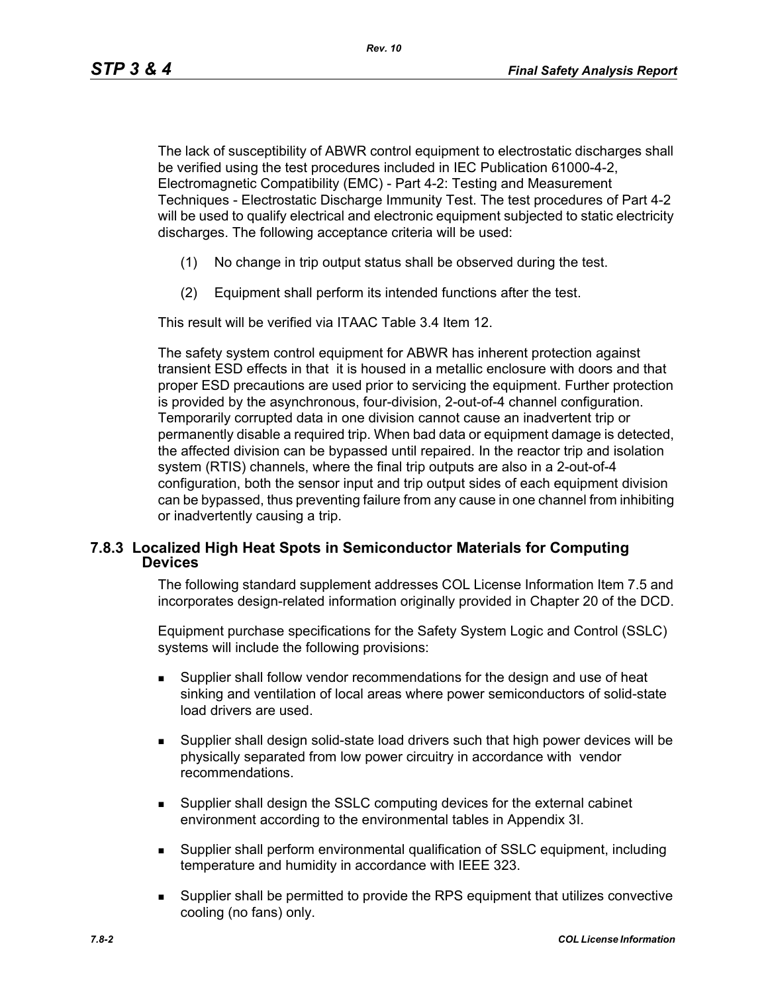The lack of susceptibility of ABWR control equipment to electrostatic discharges shall be verified using the test procedures included in IEC Publication 61000-4-2, Electromagnetic Compatibility (EMC) - Part 4-2: Testing and Measurement Techniques - Electrostatic Discharge Immunity Test. The test procedures of Part 4-2 will be used to qualify electrical and electronic equipment subjected to static electricity discharges. The following acceptance criteria will be used:

- (1) No change in trip output status shall be observed during the test.
- (2) Equipment shall perform its intended functions after the test.

This result will be verified via ITAAC Table 3.4 Item 12.

The safety system control equipment for ABWR has inherent protection against transient ESD effects in that it is housed in a metallic enclosure with doors and that proper ESD precautions are used prior to servicing the equipment. Further protection is provided by the asynchronous, four-division, 2-out-of-4 channel configuration. Temporarily corrupted data in one division cannot cause an inadvertent trip or permanently disable a required trip. When bad data or equipment damage is detected, the affected division can be bypassed until repaired. In the reactor trip and isolation system (RTIS) channels, where the final trip outputs are also in a 2-out-of-4 configuration, both the sensor input and trip output sides of each equipment division can be bypassed, thus preventing failure from any cause in one channel from inhibiting or inadvertently causing a trip.

## **7.8.3 Localized High Heat Spots in Semiconductor Materials for Computing Devices**

The following standard supplement addresses COL License Information Item 7.5 and incorporates design-related information originally provided in Chapter 20 of the DCD.

Equipment purchase specifications for the Safety System Logic and Control (SSLC) systems will include the following provisions:

- Supplier shall follow vendor recommendations for the design and use of heat sinking and ventilation of local areas where power semiconductors of solid-state load drivers are used.
- Supplier shall design solid-state load drivers such that high power devices will be physically separated from low power circuitry in accordance with vendor recommendations.
- Supplier shall design the SSLC computing devices for the external cabinet environment according to the environmental tables in Appendix 3I.
- Supplier shall perform environmental qualification of SSLC equipment, including temperature and humidity in accordance with IEEE 323.
- Supplier shall be permitted to provide the RPS equipment that utilizes convective cooling (no fans) only.